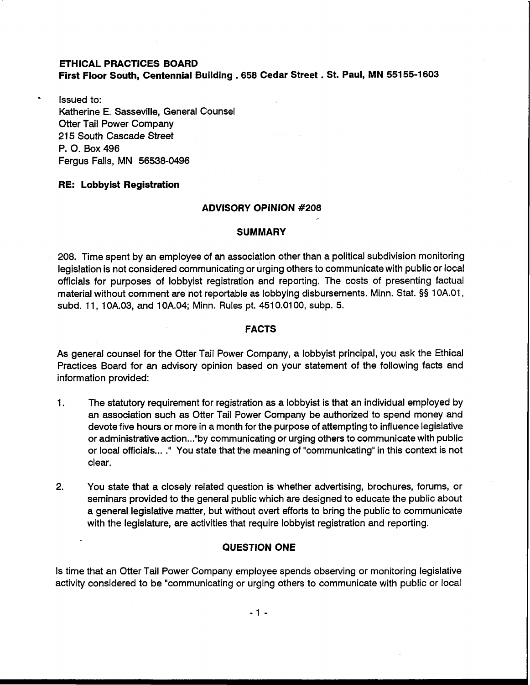# **ETHICAL PRACTICES BOARD First Floor South, Centennial Building** . **658 Cedar Street** . **St. Paul, MN 551 55-1 603**

Issued to: Katherine E. Sasseville, General Counsel Otter Tail Power Company 215 South Cascade Street P. 0. Box 496 Fergus Falls, MN 56538-0496

# **RE: Lobbyist Registration**

#### **ADVISORY OPINION #208** -

#### **SUMMARY**

208. Time spent by an employee of an association other than a political subdivision monitoring legislation is not considered communicating or urging others to communicate with public or local officials for purposes of lobbyist registration and reporting. The costs of presenting factual material without comment are not reportable as lobbying disbursements. Minn. Stat. §§ 1 0A.01, subd. 11, 10A.03, and 10A.04; Minn. Rules pt. 4510.0100, subp. 5.

### **FACTS**

As general counsel for the Otter Tail Power Company, a lobbyist principal, you ask the Ethical Practices Board for an advisory opinion based on your statement of the following facts and information provided:

- **1.** The statutory requirement for registration as a lobbyist is that an individual employed by an association such as Otter Tail Power Company be authorized to spend money and devote five hours or more in a month for the purpose of attempting to influence legislative or administrative action ..." by communicating or urging others to communicate with public or local officials ... ." You state that the meaning of "communicating" in this context is not clear.
- **2.** You state that a closely related question is whether advertising, brochures, forums, or seminars provided to the general public which are designed to educate the public about a general legislative matter, but without overt efforts to bring the public to communicate with the legislature, are activities that require lobbyist registration and reporting.

# **QUESTION ONE**

Is time that an Otter Tail Power Company employee spends observing or monitoring legislative activity considered to be "communicating or urging others to communicate with public or local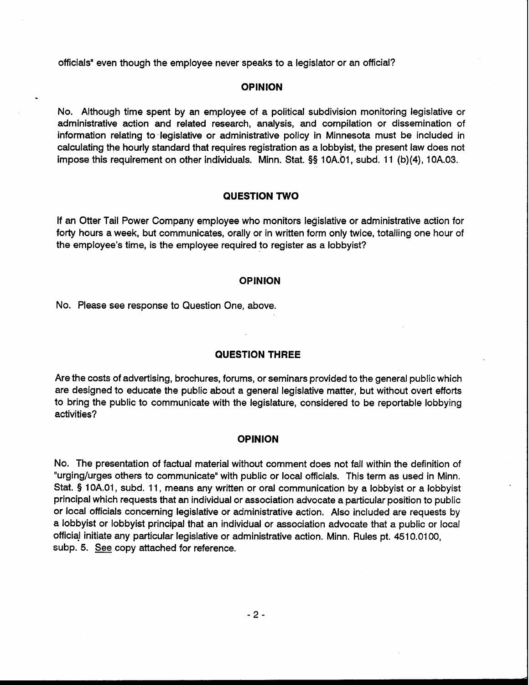officials" even though the employee never speaks to a legislator or an official?

## **OPINION**

No. Although time spent by an employee of a political subdivision monitoring legislative or administrative action and related research, analysis, and compilation or dissemination of information relating to-legislative or administrative policy in Minnesota must be included in calculating the hourly standard that requires registration as a lobbyist, the present law does not impose this requirement on other individuals. Minn. Stat. **55** 10A.01, subd. 11 (b)(4), 10A.03.

## **QUESTION TWO**

If an Otter Tail Power Company employee who monitors legislative or administrative action for forty hours a week, but communicates, orally or in written form only twice, totalling one hour of the employee's time, is the employee required to register as a lobbyist?

# **OPINION**

No. Please see response to Question One, above.

# **QUESTION THREE**

Are the costs of advertising, brochures, forums, or seminars provided to the general public which are designed to educate the public about a general legislative matter, but without overt efforts to bring the public to communicate with the legislature, considered to be reportable lobbying activities?

#### **OPINION**

No. The presentation of factual material without comment does not fall within the definition of "urging/urges others to communicate" with public or local officials. This term as used in Minn. Stat. **9** 1 0A.01, subd. 11, means any written or oral communication by a lobbyist or a lobbyist principal which requests that an individual or association advocate a particular position to public or local officials concerning legislative or administrative action. Also included are requests by a lobbyist or lobbyist principal that an individual or association advocate that a public or local officid initiate any particular legislative or administrative action. Minn. Rules pt. 451 0.01 00, subp. 5. *See* copy attached for reference.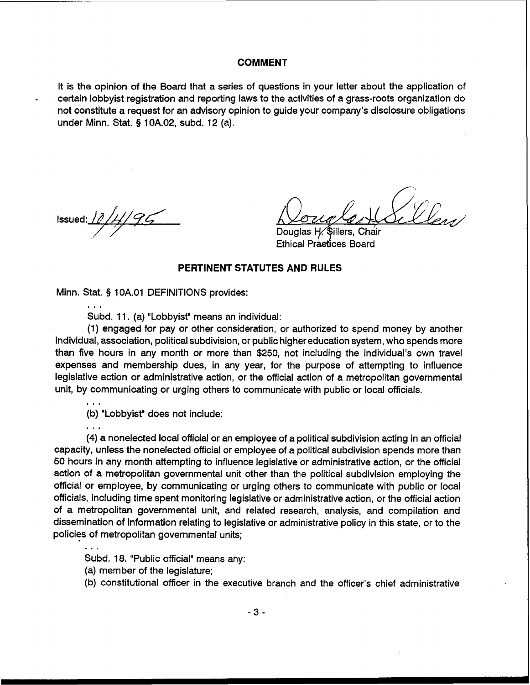## **COMMENT**

It is the opinion of the Board that a series of questions in your letter about the application of - certain lobbyist registration and reporting laws to the activities of a grass-roots organization do not constitute a request for an advisory opinion to guide your company's disclosure obligations under Minn. Stat. § 10A.02, subd. 12 (a).

Issued:  $\ell$ 

...

Douglas H. Sillers, Chair Ethical Praetices Board

# **PERTINENT STATUTES AND RULES**

Minn. Stat. § 10A.01 DEFINITIONS provides:

Subd. 11. (a) "Lobbyist" means an individual:

(1) engaged for pay or other consideration, or authorized to spend money by another individual, association, political subdivision, or public higher education system, who spends more than five hours in any month or more than \$250, not including the individual's own travel expenses and membership dues, in any year, for the purpose of attempting to influence legislative action or administrative action, or the official action of a metropolitan governmental unit, by communicating or urging others to communicate with public or local officials.

(b) "Lobbyist" does not include:

. . . (4) a nonelected local official or an employee of a political subdivision acting in an official capacity, unless the nonelected official or employee of a political subdivision spends more than 50 hours in any month attempting to influence legislative or administrative action, or the official action of a metropolitan governmental unit other than the political subdivision employing the official or employee, by communicating or urging others to communicate with public or local officials, including time spent monitoring legislative or administrative action, or the official action of a metropolitan governmental unit, and related research, analysis, and compilation and dissemination of information relating to legislative or administrative policy in this state, or to the policies of metropolitan governmental units;

Subd. 18. "Public official" means any:

(a) member of the legislature;

(b) constitutional officer in the executive branch and the officer's chief administrative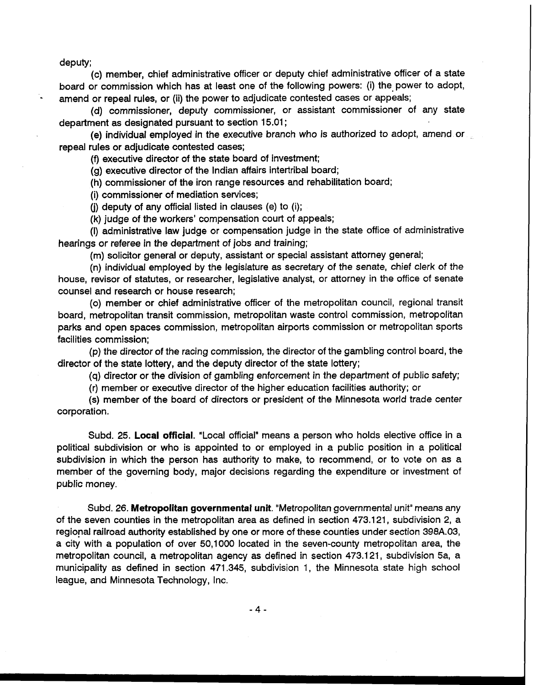deputy;

(c) member, chief administrative officer or deputy chief administrative officer of a state board or commission which has at least one of the following powers: (i) the power to adopt, amend or repeal rules, or (ii) the power to adjudicate contested cases or appeals;

(d) commissioner, deputy commissioner, or assistant commissioner of any state department as designated pursuant to section 15.01 ;

(e) individual employed in the executive branch who is authorized to adopt, amend or repeal rules or adjudicate contested cases;

(9 executive director of the state board of investment;

(g) executive director of the Indian affairs intertribal board;

(h) commissioner of the iron range resources and rehabilitation board;

(i) commissioner of mediation services;

(j) deputy of any official listed in clauses (e) to (i);

(k) judge of the workers' compensation court of appeals;

(I) administrative law judge or compensation judge in the state office of administrative hearings or referee in the department of jobs and training;

**(m)** solicitor general or deputy, assistant or special assistant attorney general;

(n) individual employed by the legislature as secretary of the senate, chief clerk of the house, revisor of statutes, or researcher, legislative analyst, or attorney in the office of senate counsel and research or house research;

(0) member or chief administrative officer of the metropolitan council, regional transit board, metropolitan transit commission, metropolitan waste control commission, metropolitan parks and open spaces commission, metropolitan airports commission or metropolitan sports facilities commission;

(p) the director of the racing commission, the director of the gambling control board, the director of the state lottery, and the deputy director of the state lottery;

(q) director or the division of gambling enforcement in the department of public safety;

(r) member or executive director of the higher education facilities authority; or

(s) member of the board of directors or president of the Minnesota world trade center corporation.

Subd. 25. Local **official.** "Local official" means a person who holds elective office in a political subdivision or who is appointed to or employed in a public position in a political subdivision in which the person has authority to make, to recommend, or to vote on as a member of the governing body, major decisions regarding the expenditure or investment of public money.

Subd. 26. **Metropolitan governmental unit.** "Metropolitan governmental unit" means any of the seven counties in the metropolitan area as defined in section 473.121, subdivision 2, a regional railroad authority established by one or more of these counties under section 398A.03, a city with a population of over 50,1000 located in the seven-county metropolitan area, the metropolitan council, a metropolitan agency as defined in section 473.121, subdivision 5a, a municipality as defined in section 471.345, subdivision 1, the Minnesota state high school league, and Minnesota Technology, Inc.